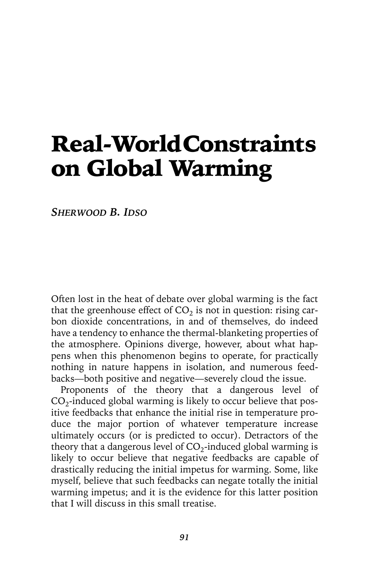# Real-World Constraints on Global Warming

*SHERWOOD B. IDSO*

Often lost in the heat of debate over global warming is the fact that the greenhouse effect of  $CO<sub>2</sub>$  is not in question: rising carbon dioxide concentrations, in and of themselves, do indeed have a tendency to enhance the thermal-blanketing properties of the atmosphere. Opinions diverge, however, about what happens when this phenomenon begins to operate, for practically nothing in nature happens in isolation, and numerous feedbacks—both positive and negative—severely cloud the issue.

Proponents of the theory that a dangerous level of  $CO<sub>2</sub>$ -induced global warming is likely to occur believe that positive feedbacks that enhance the initial rise in temperature produce the major portion of whatever temperature increase ultimately occurs (or is predicted to occur). Detractors of the theory that a dangerous level of  $CO_2$ -induced global warming is likely to occur believe that negative feedbacks are capable of drastically reducing the initial impetus for warming. Some, like myself, believe that such feedbacks can negate totally the initial warming impetus; and it is the evidence for this latter position that I will discuss in this small treatise.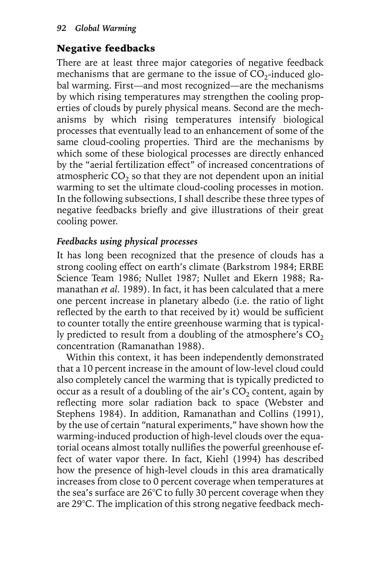# Negative feedbacks

There are at least three major categories of negative feedback mechanisms that are germane to the issue of  $CO<sub>2</sub>$ -induced global warming. First—and most recognized—are the mechanisms by which rising temperatures may strengthen the cooling properties of clouds by purely physical means. Second are the mechanisms by which rising temperatures intensify biological processes that eventually lead to an enhancement of some of the same cloud-cooling properties. Third are the mechanisms by which some of these biological processes are directly enhanced by the "aerial fertilization effect" of increased concentrations of atmospheric  $CO<sub>2</sub>$  so that they are not dependent upon an initial warming to set the ultimate cloud-cooling processes in motion. In the following subsections, I shall describe these three types of negative feedbacks briefly and give illustrations of their great cooling power.

# *Feedbacks using physical processes*

It has long been recognized that the presence of clouds has a strong cooling effect on earth's climate (Barkstrom 1984; ERBE Science Team 1986; Nullet 1987; Nullet and Ekern 1988; Ramanathan *et al*. 1989). In fact, it has been calculated that a mere one percent increase in planetary albedo (i.e. the ratio of light reflected by the earth to that received by it) would be sufficient to counter totally the entire greenhouse warming that is typically predicted to result from a doubling of the atmosphere's  $CO<sub>2</sub>$ concentration (Ramanathan 1988).

Within this context, it has been independently demonstrated that a 10 percent increase in the amount of low-level cloud could also completely cancel the warming that is typically predicted to occur as a result of a doubling of the air's  $CO<sub>2</sub>$  content, again by reflecting more solar radiation back to space (Webster and Stephens 1984). In addition, Ramanathan and Collins (1991), by the use of certain "natural experiments," have shown how the warming-induced production of high-level clouds over the equatorial oceans almost totally nullifies the powerful greenhouse effect of water vapor there. In fact, Kiehl (1994) has described how the presence of high-level clouds in this area dramatically increases from close to 0 percent coverage when temperatures at the sea's surface are 26°C to fully 30 percent coverage when they are 29°C. The implication of this strong negative feedback mech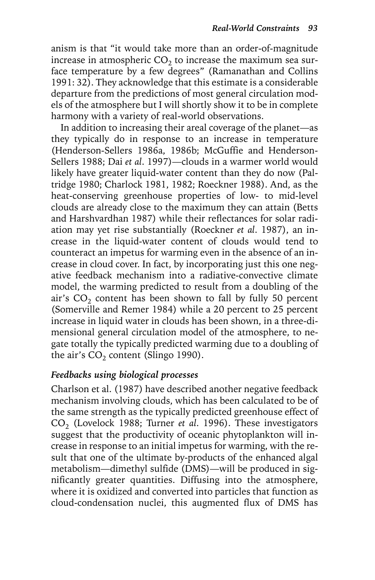anism is that "it would take more than an order-of-magnitude increase in atmospheric  $CO<sub>2</sub>$  to increase the maximum sea surface temperature by a few degrees" (Ramanathan and Collins 1991: 32). They acknowledge that this estimate is a considerable departure from the predictions of most general circulation models of the atmosphere but I will shortly show it to be in complete harmony with a variety of real-world observations.

In addition to increasing their areal coverage of the planet—as they typically do in response to an increase in temperature (Henderson-Sellers 1986a, 1986b; McGuffie and Henderson-Sellers 1988; Dai *et al*. 1997)—clouds in a warmer world would likely have greater liquid-water content than they do now (Paltridge 1980; Charlock 1981, 1982; Roeckner 1988). And, as the heat-conserving greenhouse properties of low- to mid-level clouds are already close to the maximum they can attain (Betts and Harshvardhan 1987) while their reflectances for solar radiation may yet rise substantially (Roeckner *et al*. 1987), an increase in the liquid-water content of clouds would tend to counteract an impetus for warming even in the absence of an increase in cloud cover. In fact, by incorporating just this one negative feedback mechanism into a radiative-convective climate model, the warming predicted to result from a doubling of the air's  $CO<sub>2</sub>$  content has been shown to fall by fully 50 percent (Somerville and Remer 1984) while a 20 percent to 25 percent increase in liquid water in clouds has been shown, in a three-dimensional general circulation model of the atmosphere, to negate totally the typically predicted warming due to a doubling of the air's  $CO<sub>2</sub>$  content (Slingo 1990).

## *Feedbacks using biological processes*

Charlson et al. (1987) have described another negative feedback mechanism involving clouds, which has been calculated to be of the same strength as the typically predicted greenhouse effect of CO<sub>2</sub> (Lovelock 1988; Turner *et al.* 1996). These investigators suggest that the productivity of oceanic phytoplankton will increase in response to an initial impetus for warming, with the result that one of the ultimate by-products of the enhanced algal metabolism—dimethyl sulfide (DMS)—will be produced in significantly greater quantities. Diffusing into the atmosphere, where it is oxidized and converted into particles that function as cloud-condensation nuclei, this augmented flux of DMS has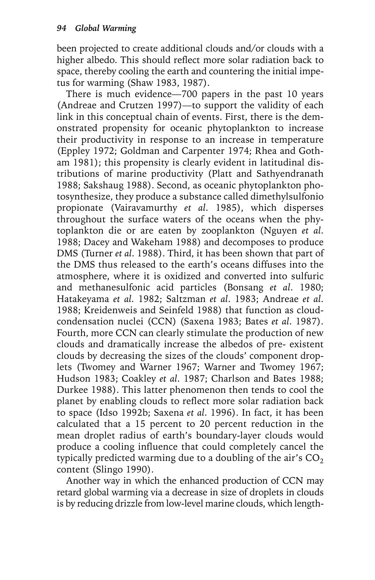been projected to create additional clouds and/or clouds with a higher albedo. This should reflect more solar radiation back to space, thereby cooling the earth and countering the initial impetus for warming (Shaw 1983, 1987).

There is much evidence—700 papers in the past 10 years (Andreae and Crutzen 1997)—to support the validity of each link in this conceptual chain of events. First, there is the demonstrated propensity for oceanic phytoplankton to increase their productivity in response to an increase in temperature (Eppley 1972; Goldman and Carpenter 1974; Rhea and Gotham 1981); this propensity is clearly evident in latitudinal distributions of marine productivity (Platt and Sathyendranath 1988; Sakshaug 1988). Second, as oceanic phytoplankton photosynthesize, they produce a substance called dimethylsulfonio propionate (Vairavamurthy *et al*. 1985), which disperses throughout the surface waters of the oceans when the phytoplankton die or are eaten by zooplankton (Nguyen *et al*. 1988; Dacey and Wakeham 1988) and decomposes to produce DMS (Turner *et al*. 1988). Third, it has been shown that part of the DMS thus released to the earth's oceans diffuses into the atmosphere, where it is oxidized and converted into sulfuric and methanesulfonic acid particles (Bonsang *et al*. 1980; Hatakeyama *et al*. 1982; Saltzman *et al*. 1983; Andreae *et al*. 1988; Kreidenweis and Seinfeld 1988) that function as cloudcondensation nuclei (CCN) (Saxena 1983; Bates *et al*. 1987). Fourth, more CCN can clearly stimulate the production of new clouds and dramatically increase the albedos of pre- existent clouds by decreasing the sizes of the clouds' component droplets (Twomey and Warner 1967; Warner and Twomey 1967; Hudson 1983; Coakley *et al*. 1987; Charlson and Bates 1988; Durkee 1988). This latter phenomenon then tends to cool the planet by enabling clouds to reflect more solar radiation back to space (Idso 1992b; Saxena *et al*. 1996). In fact, it has been calculated that a 15 percent to 20 percent reduction in the mean droplet radius of earth's boundary-layer clouds would produce a cooling influence that could completely cancel the typically predicted warming due to a doubling of the air's  $CO<sub>2</sub>$ content (Slingo 1990).

Another way in which the enhanced production of CCN may retard global warming via a decrease in size of droplets in clouds is by reducing drizzle from low-level marine clouds, which length-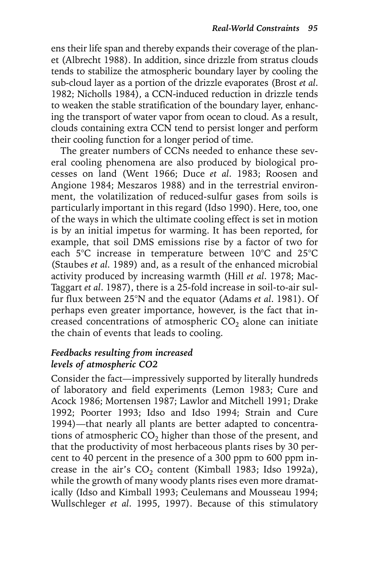ens their life span and thereby expands their coverage of the planet (Albrecht 1988). In addition, since drizzle from stratus clouds tends to stabilize the atmospheric boundary layer by cooling the sub-cloud layer as a portion of the drizzle evaporates (Brost *et al*. 1982; Nicholls 1984), a CCN-induced reduction in drizzle tends to weaken the stable stratification of the boundary layer, enhancing the transport of water vapor from ocean to cloud. As a result, clouds containing extra CCN tend to persist longer and perform their cooling function for a longer period of time.

The greater numbers of CCNs needed to enhance these several cooling phenomena are also produced by biological processes on land (Went 1966; Duce *et al*. 1983; Roosen and Angione 1984; Meszaros 1988) and in the terrestrial environment, the volatilization of reduced-sulfur gases from soils is particularly important in this regard (Idso 1990). Here, too, one of the ways in which the ultimate cooling effect is set in motion is by an initial impetus for warming. It has been reported, for example, that soil DMS emissions rise by a factor of two for each 5°C increase in temperature between 10°C and 25°C (Staubes *et al*. 1989) and, as a result of the enhanced microbial activity produced by increasing warmth (Hill *et al*. 1978; Mac-Taggart *et al*. 1987), there is a 25-fold increase in soil-to-air sulfur flux between 25°N and the equator (Adams *et al*. 1981). Of perhaps even greater importance, however, is the fact that increased concentrations of atmospheric  $CO<sub>2</sub>$  alone can initiate the chain of events that leads to cooling.

#### *Feedbacks resulting from increased levels of atmospheric CO2*

Consider the fact—impressively supported by literally hundreds of laboratory and field experiments (Lemon 1983; Cure and Acock 1986; Mortensen 1987; Lawlor and Mitchell 1991; Drake 1992; Poorter 1993; Idso and Idso 1994; Strain and Cure 1994)—that nearly all plants are better adapted to concentrations of atmospheric  $CO<sub>2</sub>$  higher than those of the present, and that the productivity of most herbaceous plants rises by 30 percent to 40 percent in the presence of a 300 ppm to 600 ppm increase in the air's  $CO<sub>2</sub>$  content (Kimball 1983; Idso 1992a), while the growth of many woody plants rises even more dramatically (Idso and Kimball 1993; Ceulemans and Mousseau 1994; Wullschleger *et al*. 1995, 1997). Because of this stimulatory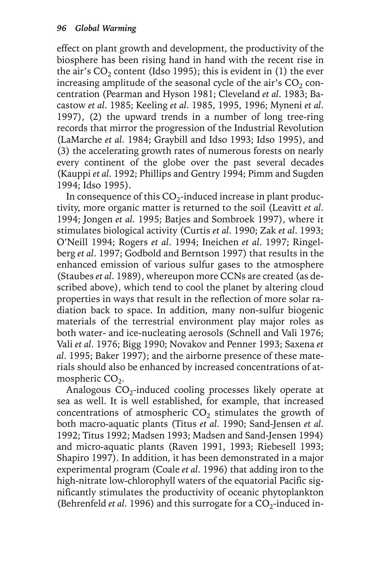effect on plant growth and development, the productivity of the biosphere has been rising hand in hand with the recent rise in the air's  $CO<sub>2</sub>$  content (Idso 1995); this is evident in (1) the ever increasing amplitude of the seasonal cycle of the air's  $CO<sub>2</sub>$  concentration (Pearman and Hyson 1981; Cleveland *et al*. 1983; Bacastow *et al*. 1985; Keeling *et al*. 1985, 1995, 1996; Myneni *et al*. 1997), (2) the upward trends in a number of long tree-ring records that mirror the progression of the Industrial Revolution (LaMarche *et al*. 1984; Graybill and Idso 1993; Idso 1995), and (3) the accelerating growth rates of numerous forests on nearly every continent of the globe over the past several decades (Kauppi *et al*. 1992; Phillips and Gentry 1994; Pimm and Sugden 1994; Idso 1995).

In consequence of this  $CO_2$ -induced increase in plant productivity, more organic matter is returned to the soil (Leavitt *et al*. 1994; Jongen *et al*. 1995; Batjes and Sombroek 1997), where it stimulates biological activity (Curtis *et al*. 1990; Zak *et al*. 1993; O'Neill 1994; Rogers *et al*. 1994; Ineichen *et al*. 1997; Ringelberg *et al*. 1997; Godbold and Berntson 1997) that results in the enhanced emission of various sulfur gases to the atmosphere (Staubes *et al*. 1989), whereupon more CCNs are created (as described above), which tend to cool the planet by altering cloud properties in ways that result in the reflection of more solar radiation back to space. In addition, many non-sulfur biogenic materials of the terrestrial environment play major roles as both water- and ice-nucleating aerosols (Schnell and Vali 1976; Vali *et al*. 1976; Bigg 1990; Novakov and Penner 1993; Saxena *et al*. 1995; Baker 1997); and the airborne presence of these materials should also be enhanced by increased concentrations of atmospheric  $CO<sub>2</sub>$ .

Analogous  $CO_2$ -induced cooling processes likely operate at sea as well. It is well established, for example, that increased concentrations of atmospheric  $CO<sub>2</sub>$  stimulates the growth of both macro-aquatic plants (Titus *et al*. 1990; Sand-Jensen *et al*. 1992; Titus 1992; Madsen 1993; Madsen and Sand-Jensen 1994) and micro-aquatic plants (Raven 1991, 1993; Riebesell 1993; Shapiro 1997). In addition, it has been demonstrated in a major experimental program (Coale *et al*. 1996) that adding iron to the high-nitrate low-chlorophyll waters of the equatorial Pacific significantly stimulates the productivity of oceanic phytoplankton (Behrenfeld *et al.* 1996) and this surrogate for a  $CO_2$ -induced in-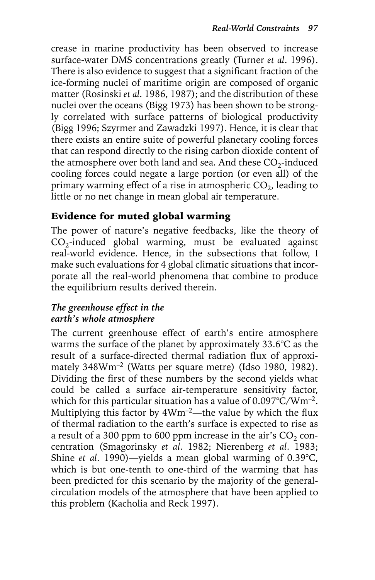crease in marine productivity has been observed to increase surface-water DMS concentrations greatly (Turner *et al*. 1996). There is also evidence to suggest that a significant fraction of the ice-forming nuclei of maritime origin are composed of organic matter (Rosinski *et al*. 1986, 1987); and the distribution of these nuclei over the oceans (Bigg 1973) has been shown to be strongly correlated with surface patterns of biological productivity (Bigg 1996; Szyrmer and Zawadzki 1997). Hence, it is clear that there exists an entire suite of powerful planetary cooling forces that can respond directly to the rising carbon dioxide content of the atmosphere over both land and sea. And these  $CO_2$ -induced cooling forces could negate a large portion (or even all) of the primary warming effect of a rise in atmospheric  $CO<sub>2</sub>$ , leading to little or no net change in mean global air temperature.

## Evidence for muted global warming

The power of nature's negative feedbacks, like the theory of  $CO<sub>2</sub>$ -induced global warming, must be evaluated against real-world evidence. Hence, in the subsections that follow, I make such evaluations for 4 global climatic situations that incorporate all the real-world phenomena that combine to produce the equilibrium results derived therein.

#### *The greenhouse effect in the earth's whole atmosphere*

The current greenhouse effect of earth's entire atmosphere warms the surface of the planet by approximately 33.6°C as the result of a surface-directed thermal radiation flux of approximately 348Wm<sup>-2</sup> (Watts per square metre) (Idso 1980, 1982). Dividing the first of these numbers by the second yields what could be called a surface air-temperature sensitivity factor, which for this particular situation has a value of 0.097°C/Wm–2. Multiplying this factor by  $4Wm^{-2}$ —the value by which the flux of thermal radiation to the earth's surface is expected to rise as a result of a 300 ppm to 600 ppm increase in the air's  $CO<sub>2</sub>$  concentration (Smagorinsky *et al*. 1982; Nierenberg *et al*. 1983; Shine *et al*. 1990)—yields a mean global warming of 0.39°C, which is but one-tenth to one-third of the warming that has been predicted for this scenario by the majority of the generalcirculation models of the atmosphere that have been applied to this problem (Kacholia and Reck 1997).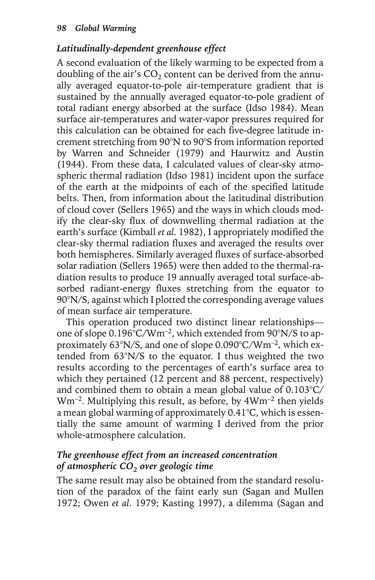## *Latitudinally-dependent greenhouse effect*

A second evaluation of the likely warming to be expected from a doubling of the air's  $CO<sub>2</sub>$  content can be derived from the annually averaged equator-to-pole air-temperature gradient that is sustained by the annually averaged equator-to-pole gradient of total radiant energy absorbed at the surface (Idso 1984). Mean surface air-temperatures and water-vapor pressures required for this calculation can be obtained for each five-degree latitude increment stretching from 90°N to 90°S from information reported by Warren and Schneider (1979) and Haurwitz and Austin (1944). From these data, I calculated values of clear-sky atmospheric thermal radiation (Idso 1981) incident upon the surface of the earth at the midpoints of each of the specified latitude belts. Then, from information about the latitudinal distribution of cloud cover (Sellers 1965) and the ways in which clouds modify the clear-sky flux of downwelling thermal radiation at the earth's surface (Kimball *et al*. 1982), I appropriately modified the clear-sky thermal radiation fluxes and averaged the results over both hemispheres. Similarly averaged fluxes of surface-absorbed solar radiation (Sellers 1965) were then added to the thermal-radiation results to produce 19 annually averaged total surface-absorbed radiant-energy fluxes stretching from the equator to 90°N/S, against which I plotted the corresponding average values of mean surface air temperature.

This operation produced two distinct linear relationships one of slope 0.196°C/Wm–2, which extended from 90°N/S to approximately 63°N/S, and one of slope 0.090°C/Wm–2, which extended from 63°N/S to the equator. I thus weighted the two results according to the percentages of earth's surface area to which they pertained (12 percent and 88 percent, respectively) and combined them to obtain a mean global value of 0.103°C/ Wm–2. Multiplying this result, as before, by 4Wm–2 then yields a mean global warming of approximately 0.41°C, which is essentially the same amount of warming I derived from the prior whole-atmosphere calculation.

#### *The greenhouse effect from an increased concentration of atmospheric CO2 over geologic time*

The same result may also be obtained from the standard resolution of the paradox of the faint early sun (Sagan and Mullen 1972; Owen *et al*. 1979; Kasting 1997), a dilemma (Sagan and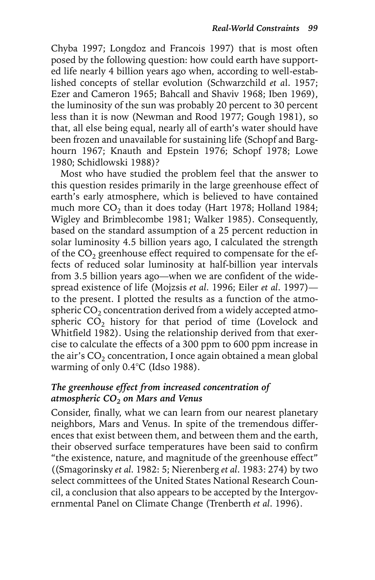Chyba 1997; Longdoz and Francois 1997) that is most often posed by the following question: how could earth have supported life nearly 4 billion years ago when, according to well-established concepts of stellar evolution (Schwarzchild *et a*l. 1957; Ezer and Cameron 1965; Bahcall and Shaviv 1968; Iben 1969), the luminosity of the sun was probably 20 percent to 30 percent less than it is now (Newman and Rood 1977; Gough 1981), so that, all else being equal, nearly all of earth's water should have been frozen and unavailable for sustaining life (Schopf and Barghourn 1967; Knauth and Epstein 1976; Schopf 1978; Lowe 1980; Schidlowski 1988)?

Most who have studied the problem feel that the answer to this question resides primarily in the large greenhouse effect of earth's early atmosphere, which is believed to have contained much more  $CO<sub>2</sub>$  than it does today (Hart 1978; Holland 1984; Wigley and Brimblecombe 1981; Walker 1985). Consequently, based on the standard assumption of a 25 percent reduction in solar luminosity 4.5 billion years ago, I calculated the strength of the  $CO<sub>2</sub>$  greenhouse effect required to compensate for the effects of reduced solar luminosity at half-billion year intervals from 3.5 billion years ago—when we are confident of the widespread existence of life (Mojzsis *et al*. 1996; Eiler *et al*. 1997) to the present. I plotted the results as a function of the atmospheric  $CO<sub>2</sub>$  concentration derived from a widely accepted atmospheric  $CO<sub>2</sub>$  history for that period of time (Lovelock and Whitfield 1982). Using the relationship derived from that exercise to calculate the effects of a 300 ppm to 600 ppm increase in the air's  $CO<sub>2</sub>$  concentration, I once again obtained a mean global warming of only 0.4°C (Idso 1988).

#### *The greenhouse effect from increased concentration of atmospheric CO2 on Mars and Venus*

Consider, finally, what we can learn from our nearest planetary neighbors, Mars and Venus. In spite of the tremendous differences that exist between them, and between them and the earth, their observed surface temperatures have been said to confirm "the existence, nature, and magnitude of the greenhouse effect" ((Smagorinsky *et al*. 1982: 5; Nierenberg *et al*. 1983: 274) by two select committees of the United States National Research Council, a conclusion that also appears to be accepted by the Intergovernmental Panel on Climate Change (Trenberth *et al*. 1996).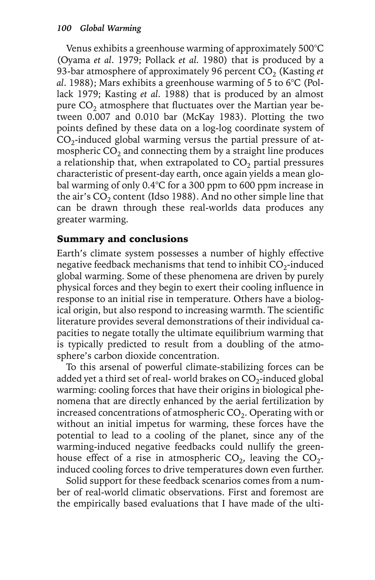Venus exhibits a greenhouse warming of approximately 500°C (Oyama *et al*. 1979; Pollack *et al*. 1980) that is produced by a 93-bar atmosphere of approximately 96 percent CO<sub>2</sub> (Kasting *et*) *al*. 1988); Mars exhibits a greenhouse warming of 5 to 6°C (Pollack 1979; Kasting *et al*. 1988) that is produced by an almost pure  $CO<sub>2</sub>$  atmosphere that fluctuates over the Martian year between 0.007 and 0.010 bar (McKay 1983). Plotting the two points defined by these data on a log-log coordinate system of  $CO<sub>2</sub>$ -induced global warming versus the partial pressure of atmospheric  $CO<sub>2</sub>$  and connecting them by a straight line produces a relationship that, when extrapolated to  $CO<sub>2</sub>$  partial pressures characteristic of present-day earth, once again yields a mean global warming of only 0.4°C for a 300 ppm to 600 ppm increase in the air's  $CO<sub>2</sub>$  content (Idso 1988). And no other simple line that can be drawn through these real-worlds data produces any greater warming.

## Summary and conclusions

Earth's climate system possesses a number of highly effective negative feedback mechanisms that tend to inhibit  $CO<sub>2</sub>$ -induced global warming. Some of these phenomena are driven by purely physical forces and they begin to exert their cooling influence in response to an initial rise in temperature. Others have a biological origin, but also respond to increasing warmth. The scientific literature provides several demonstrations of their individual capacities to negate totally the ultimate equilibrium warming that is typically predicted to result from a doubling of the atmosphere's carbon dioxide concentration.

To this arsenal of powerful climate-stabilizing forces can be added yet a third set of real-world brakes on  $CO<sub>2</sub>$ -induced global warming: cooling forces that have their origins in biological phenomena that are directly enhanced by the aerial fertilization by increased concentrations of atmospheric  $CO<sub>2</sub>$ . Operating with or without an initial impetus for warming, these forces have the potential to lead to a cooling of the planet, since any of the warming-induced negative feedbacks could nullify the greenhouse effect of a rise in atmospheric  $CO<sub>2</sub>$ , leaving the  $CO<sub>2</sub>$ induced cooling forces to drive temperatures down even further.

Solid support for these feedback scenarios comes from a number of real-world climatic observations. First and foremost are the empirically based evaluations that I have made of the ulti-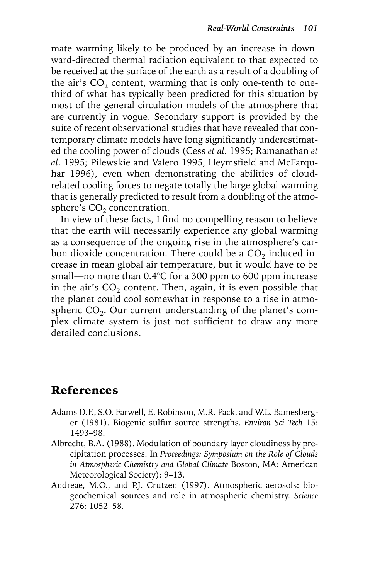mate warming likely to be produced by an increase in downward-directed thermal radiation equivalent to that expected to be received at the surface of the earth as a result of a doubling of the air's  $CO<sub>2</sub>$  content, warming that is only one-tenth to onethird of what has typically been predicted for this situation by most of the general-circulation models of the atmosphere that are currently in vogue. Secondary support is provided by the suite of recent observational studies that have revealed that contemporary climate models have long significantly underestimated the cooling power of clouds (Cess *et al*. 1995; Ramanathan *et al*. 1995; Pilewskie and Valero 1995; Heymsfield and McFarquhar 1996), even when demonstrating the abilities of cloudrelated cooling forces to negate totally the large global warming that is generally predicted to result from a doubling of the atmosphere's  $CO<sub>2</sub>$  concentration.

In view of these facts, I find no compelling reason to believe that the earth will necessarily experience any global warming as a consequence of the ongoing rise in the atmosphere's carbon dioxide concentration. There could be a  $CO_2$ -induced increase in mean global air temperature, but it would have to be small—no more than 0.4°C for a 300 ppm to 600 ppm increase in the air's  $CO<sub>2</sub>$  content. Then, again, it is even possible that the planet could cool somewhat in response to a rise in atmospheric  $CO<sub>2</sub>$ . Our current understanding of the planet's complex climate system is just not sufficient to draw any more detailed conclusions.

# References

- Adams D.F., S.O. Farwell, E. Robinson, M.R. Pack, and W.L. Bamesberger (1981). Biogenic sulfur source strengths. *Environ Sci Tech* 15: 1493–98.
- Albrecht, B.A. (1988). Modulation of boundary layer cloudiness by precipitation processes. In *Proceedings: Symposium on the Role of Clouds in Atmospheric Chemistry and Global Climate* Boston, MA: American Meteorological Society): 9–13.
- Andreae, M.O., and P.J. Crutzen (1997). Atmospheric aerosols: biogeochemical sources and role in atmospheric chemistry. *Science* 276: 1052–58.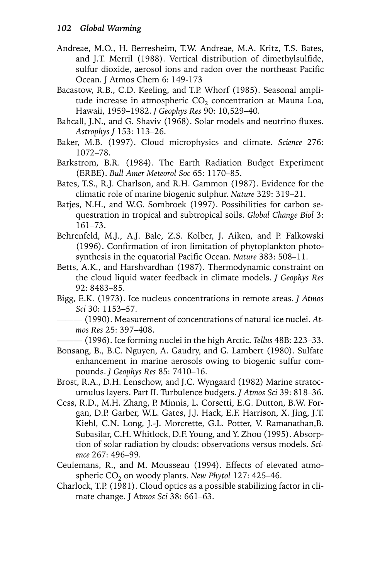- Andreae, M.O., H. Berresheim, T.W. Andreae, M.A. Kritz, T.S. Bates, and J.T. Merril (1988). Vertical distribution of dimethylsulfide, sulfur dioxide, aerosol ions and radon over the northeast Pacific Ocean. J Atmos Chem 6: 149-173
- Bacastow, R.B., C.D. Keeling, and T.P. Whorf (1985). Seasonal amplitude increase in atmospheric  $CO<sub>2</sub>$  concentration at Mauna Loa, Hawaii, 1959–1982. *J Geophys Res* 90: 10,529–40.
- Bahcall, J.N., and G. Shaviv (1968). Solar models and neutrino fluxes. *Astrophys J* 153: 113–26.
- Baker, M.B. (1997). Cloud microphysics and climate. *Science* 276: 1072–78.
- Barkstrom, B.R. (1984). The Earth Radiation Budget Experiment (ERBE). *Bull Amer Meteorol Soc* 65: 1170–85.
- Bates, T.S., R.J. Charlson, and R.H. Gammon (1987). Evidence for the climatic role of marine biogenic sulphur. *Nature* 329: 319–21.
- Batjes, N.H., and W.G. Sombroek (1997). Possibilities for carbon sequestration in tropical and subtropical soils. *Global Change Biol* 3: 161–73.
- Behrenfeld, M.J., A.J. Bale, Z.S. Kolber, J. Aiken, and P. Falkowski (1996). Confirmation of iron limitation of phytoplankton photosynthesis in the equatorial Pacific Ocean. *Nature* 383: 508–11.
- Betts, A.K., and Harshvardhan (1987). Thermodynamic constraint on the cloud liquid water feedback in climate models. *J Geophys Res* 92: 8483–85.
- Bigg, E.K. (1973). Ice nucleus concentrations in remote areas. *J Atmos Sci* 30: 1153–57.
	- ——— (1990). Measurement of concentrations of natural ice nuclei. *Atmos Res* 25: 397–408.

——— (1996). Ice forming nuclei in the high Arctic. *Tellus* 48B: 223–33.

- Bonsang, B., B.C. Nguyen, A. Gaudry, and G. Lambert (1980). Sulfate enhancement in marine aerosols owing to biogenic sulfur compounds. *J Geophys Res* 85: 7410–16.
- Brost, R.A., D.H. Lenschow, and J.C. Wyngaard (1982) Marine stratocumulus layers. Part II. Turbulence budgets. *J Atmos Sci* 39: 818–36.
- Cess, R.D., M.H. Zhang, P. Minnis, L. Corsetti, E.G. Dutton, B.W. Forgan, D.P. Garber, W.L. Gates, J.J. Hack, E.F. Harrison, X. Jing, J.T. Kiehl, C.N. Long, J.-J. Morcrette, G.L. Potter, V. Ramanathan,B. Subasilar, C.H. Whitlock, D.F. Young, and Y. Zhou (1995). Absorption of solar radiation by clouds: observations versus models. *Science* 267: 496–99.
- Ceulemans, R., and M. Mousseau (1994). Effects of elevated atmospheric CO<sub>2</sub> on woody plants. *New Phytol* 127: 425-46.
- Charlock, T.P. (1981). Cloud optics as a possible stabilizing factor in climate change. J At*mos Sci* 38: 661–63.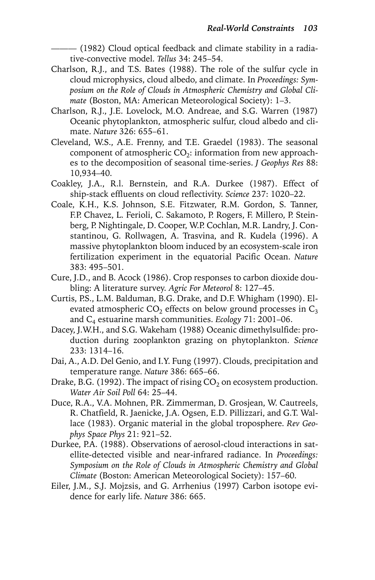$-$  (1982) Cloud optical feedback and climate stability in a radiative-convective model. *Tellus* 34: 245–54.

- Charlson, R.J., and T.S. Bates (1988). The role of the sulfur cycle in cloud microphysics, cloud albedo, and climate. In *Proceedings: Symposium on the Role of Clouds in Atmospheric Chemistry and Global Climate* (Boston, MA: American Meteorological Society): 1–3.
- Charlson, R.J., J.E. Lovelock, M.O. Andreae, and S.G. Warren (1987) Oceanic phytoplankton, atmospheric sulfur, cloud albedo and climate. *Nature* 326: 655–61.
- Cleveland, W.S., A.E. Frenny, and T.E. Graedel (1983). The seasonal component of atmospheric  $CO<sub>2</sub>$ : information from new approaches to the decomposition of seasonal time-series. *J Geophys Res* 88: 10,934–40.
- Coakley, J.A., R.l. Bernstein, and R.A. Durkee (1987). Effect of ship-stack effluents on cloud reflectivity. *Science* 237: 1020–22.
- Coale, K.H., K.S. Johnson, S.E. Fitzwater, R.M. Gordon, S. Tanner, F.P. Chavez, L. Ferioli, C. Sakamoto, P. Rogers, F. Millero, P. Steinberg, P. Nightingale, D. Cooper, W.P. Cochlan, M.R. Landry, J. Constantinou, G. Rollwagen, A. Trasvina, and R. Kudela (1996). A massive phytoplankton bloom induced by an ecosystem-scale iron fertilization experiment in the equatorial Pacific Ocean. *Nature* 383: 495–501.
- Cure, J.D., and B. Acock (1986). Crop responses to carbon dioxide doubling: A literature survey. *Agric For Meteorol* 8: 127–45.
- Curtis, P.S., L.M. Balduman, B.G. Drake, and D.F. Whigham (1990). Elevated atmospheric  $CO<sub>2</sub>$  effects on below ground processes in  $C<sub>3</sub>$ and C4 estuarine marsh communities. *Ecology* 71: 2001–06.
- Dacey, J.W.H., and S.G. Wakeham (1988) Oceanic dimethylsulfide: production during zooplankton grazing on phytoplankton. *Science* 233: 1314–16.
- Dai, A., A.D. Del Genio, and I.Y. Fung (1997). Clouds, precipitation and temperature range. *Nature* 386: 665–66.
- Drake, B.G. (1992). The impact of rising  $CO<sub>2</sub>$  on ecosystem production. *Water Air Soil Poll* 64: 25–44.
- Duce, R.A., V.A. Mohnen, P.R. Zimmerman, D. Grosjean, W. Cautreels, R. Chatfield, R. Jaenicke, J.A. Ogsen, E.D. Pillizzari, and G.T. Wallace (1983). Organic material in the global troposphere. *Rev Geophys Space Phys* 21: 921–52.
- Durkee, P.A. (1988). Observations of aerosol-cloud interactions in satellite-detected visible and near-infrared radiance. In *Proceedings: Symposium on the Role of Clouds in Atmospheric Chemistry and Global Climate* (Boston: American Meteorological Society): 157–60.
- Eiler, J.M., S.J. Mojzsis, and G. Arrhenius (1997) Carbon isotope evidence for early life. *Nature* 386: 665.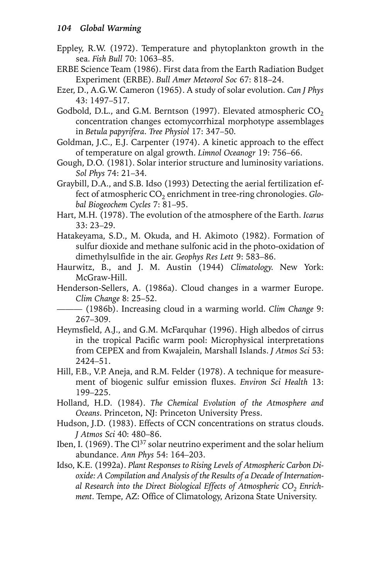- Eppley, R.W. (1972). Temperature and phytoplankton growth in the sea. *Fish Bull* 70: 1063–85.
- ERBE Science Team (1986). First data from the Earth Radiation Budget Experiment (ERBE). *Bull Amer Meteorol Soc* 67: 818–24.
- Ezer, D., A.G.W. Cameron (1965). A study of solar evolution. *Can J Phys* 43: 1497–517.
- Godbold, D.L., and G.M. Berntson (1997). Elevated atmospheric  $CO<sub>2</sub>$ concentration changes ectomycorrhizal morphotype assemblages in *Betula papyrifera*. *Tree Physiol* 17: 347–50.
- Goldman, J.C., E.J. Carpenter (1974). A kinetic approach to the effect of temperature on algal growth. *Limnol Oceanogr* 19: 756–66.
- Gough, D.O. (1981). Solar interior structure and luminosity variations. *Sol Phys* 74: 21–34.
- Graybill, D.A., and S.B. Idso (1993) Detecting the aerial fertilization effect of atmospheric CO<sub>2</sub> enrichment in tree-ring chronologies. *Global Biogeochem Cycles* 7: 81–95.
- Hart, M.H. (1978). The evolution of the atmosphere of the Earth. *Icarus* 33: 23–29.
- Hatakeyama, S.D., M. Okuda, and H. Akimoto (1982). Formation of sulfur dioxide and methane sulfonic acid in the photo-oxidation of dimethylsulfide in the air. *Geophys Res Lett* 9: 583–86.
- Haurwitz, B., and J. M. Austin (1944) *Climatology*. New York: McGraw-Hill.
- Henderson-Sellers, A. (1986a). Cloud changes in a warmer Europe. *Clim Change* 8: 25–52.

——— (1986b). Increasing cloud in a warming world. *Clim Change* 9: 267–309.

- Heymsfield, A.J., and G.M. McFarquhar (1996). High albedos of cirrus in the tropical Pacific warm pool: Microphysical interpretations from CEPEX and from Kwajalein, Marshall Islands. *J Atmos Sci* 53: 2424–51.
- Hill, F.B., V.P. Aneja, and R.M. Felder (1978). A technique for measurement of biogenic sulfur emission fluxes. *Environ Sci Health* 13: 199–225.
- Holland, H.D. (1984). *The Chemical Evolution of the Atmosphere and Oceans*. Princeton, NJ: Princeton University Press.
- Hudson, J.D. (1983). Effects of CCN concentrations on stratus clouds. *J Atmos Sci* 40: 480–86.
- Iben, I. (1969). The  $Cl^{37}$  solar neutrino experiment and the solar helium abundance. *Ann Phys* 54: 164–203.
- Idso, K.E. (1992a). *Plant Responses to Rising Levels of Atmospheric Carbon Dioxide: A Compilation and Analysis of the Results of a Decade of Internation*al Research into the Direct Biological Effects of Atmospheric CO<sub>2</sub> Enrich*ment*. Tempe, AZ: Office of Climatology, Arizona State University.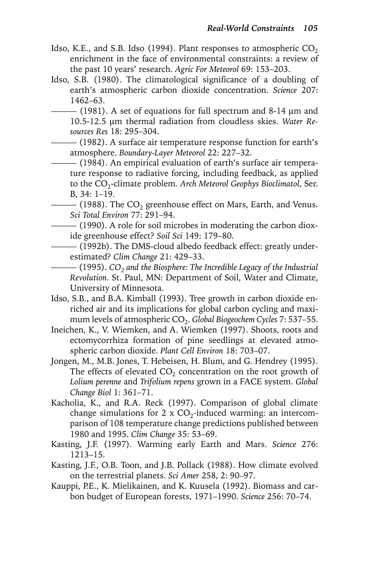- Idso, K.E., and S.B. Idso (1994). Plant responses to atmospheric  $CO<sub>2</sub>$ enrichment in the face of environmental constraints: a review of the past 10 years' research. *Agric For Meteorol* 69: 153–203.
- Idso, S.B. (1980). The climatological significance of a doubling of earth's atmospheric carbon dioxide concentration. *Science* 207: 1462–63.
- ——— (1981). A set of equations for full spectrum and 8-14 µm and 10.5-12.5 µm thermal radiation from cloudless skies. *Water Resources Res* 18: 295–304.
	- ——— (1982). A surface air temperature response function for earth's atmosphere. *Boundary-Layer Meteorol* 22: 227–32.
		- ——— (1984). An empirical evaluation of earth's surface air temperature response to radiative forcing, including feedback, as applied to the CO2-climate problem. *Arch Meteorol Geophys Bioclimatol*, Ser. B, 34: 1–19.
	- $-$  (1988). The CO<sub>2</sub> greenhouse effect on Mars, Earth, and Venus. *Sci Total Environ* 77: 291–94.
- ——— (1990). A role for soil microbes in moderating the carbon dioxide greenhouse effect? *Soil Sci* 149: 179–80.
	- ——— (1992b). The DMS-cloud albedo feedback effect: greatly underestimated? *Clim Change* 21: 429–33.
	- —— (1995). *CO<sub>2</sub>* and the Biosphere: The Incredible Legacy of the Industrial *Revolution*. St. Paul, MN: Department of Soil, Water and Climate, University of Minnesota.
- Idso, S.B., and B.A. Kimball (1993). Tree growth in carbon dioxide enriched air and its implications for global carbon cycling and maximum levels of atmospheric CO<sub>2</sub>. *Global Biogeochem Cycles* 7: 537–55.
- Ineichen, K., V. Wiemken, and A. Wiemken (1997). Shoots, roots and ectomycorrhiza formation of pine seedlings at elevated atmospheric carbon dioxide. *Plant Cell Environ* 18: 703–07.
- Jongen, M., M.B. Jones, T. Hebeisen, H. Blum, and G. Hendrey (1995). The effects of elevated  $CO<sub>2</sub>$  concentration on the root growth of *Lolium perenne* and *Trifolium repens* grown in a FACE system. *Global Change Biol* 1: 361–71.
- Kacholia, K., and R.A. Reck (1997). Comparison of global climate change simulations for 2 x  $CO<sub>2</sub>$ -induced warming: an intercomparison of 108 temperature change predictions published between 1980 and 1995. *Clim Change* 35: 53–69.
- Kasting, J.F. (1997). Warming early Earth and Mars. *Science* 276: 1213–15.
- Kasting, J.F., O.B. Toon, and J.B. Pollack (1988). How climate evolved on the terrestrial planets. *Sci Amer* 258, 2: 90–97.
- Kauppi, P.E., K. Mielikainen, and K. Kuusela (1992). Biomass and carbon budget of European forests, 1971–1990. *Science* 256: 70–74.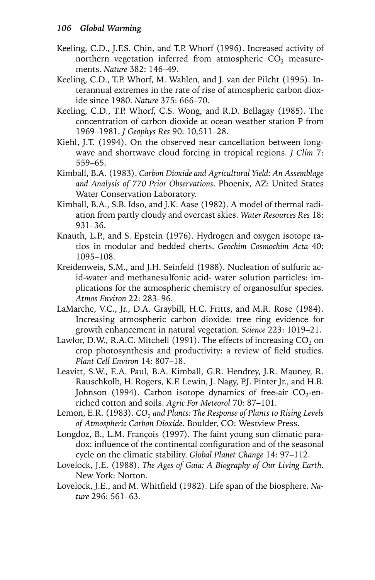- Keeling, C.D., J.F.S. Chin, and T.P. Whorf (1996). Increased activity of northern vegetation inferred from atmospheric  $CO<sub>2</sub>$  measurements. *Nature* 382: 146–49.
- Keeling, C.D., T.P. Whorf, M. Wahlen, and J. van der Pilcht (1995). Interannual extremes in the rate of rise of atmospheric carbon dioxide since 1980. *Nature* 375: 666–70.
- Keeling, C.D., T.P. Whorf, C.S. Wong, and R.D. Bellagay (1985). The concentration of carbon dioxide at ocean weather station P from 1969–1981. *J Geophys Res* 90: 10,511–28.
- Kiehl, J.T. (1994). On the observed near cancellation between longwave and shortwave cloud forcing in tropical regions. *J Clim* 7: 559–65.
- Kimball, B.A. (1983). *Carbon Dioxide and Agricultural Yield: An Assemblage and Analysis of 770 Prior Observations*. Phoenix, AZ: United States Water Conservation Laboratory.
- Kimball, B.A., S.B. Idso, and J.K. Aase (1982). A model of thermal radiation from partly cloudy and overcast skies. *Water Resources Res* 18: 931–36.
- Knauth, L.P., and S. Epstein (1976). Hydrogen and oxygen isotope ratios in modular and bedded cherts. *Geochim Cosmochim Acta* 40: 1095–108.
- Kreidenweis, S.M., and J.H. Seinfeld (1988). Nucleation of sulfuric acid-water and methanesulfonic acid- water solution particles: implications for the atmospheric chemistry of organosulfur species. *Atmos Environ* 22: 283–96.
- LaMarche, V.C., Jr., D.A. Graybill, H.C. Fritts, and M.R. Rose (1984). Increasing atmospheric carbon dioxide: tree ring evidence for growth enhancement in natural vegetation. *Science* 223: 1019–21.
- Lawlor, D.W., R.A.C. Mitchell (1991). The effects of increasing  $CO<sub>2</sub>$  on crop photosynthesis and productivity: a review of field studies. *Plant Cell Environ* 14: 807–18.
- Leavitt, S.W., E.A. Paul, B.A. Kimball, G.R. Hendrey, J.R. Mauney, R. Rauschkolb, H. Rogers, K.F. Lewin, J. Nagy, P.J. Pinter Jr., and H.B. Johnson (1994). Carbon isotope dynamics of free-air  $CO_2$ -enriched cotton and soils. *Agric For Meteorol* 70: 87–101.
- Lemon, E.R. (1983). *CO<sub>2</sub> and Plants: The Response of Plants to Rising Levels of Atmospheric Carbon Dioxide*. Boulder, CO: Westview Press.
- Longdoz, B., L.M. François (1997). The faint young sun climatic paradox: influence of the continental configuration and of the seasonal cycle on the climatic stability. *Global Planet Change* 14: 97–112.
- Lovelock, J.E. (1988). *The Ages of Gaia: A Biography of Our Living Earth*. New York: Norton.
- Lovelock, J.E., and M. Whitfield (1982). Life span of the biosphere. *Nature* 296: 561–63.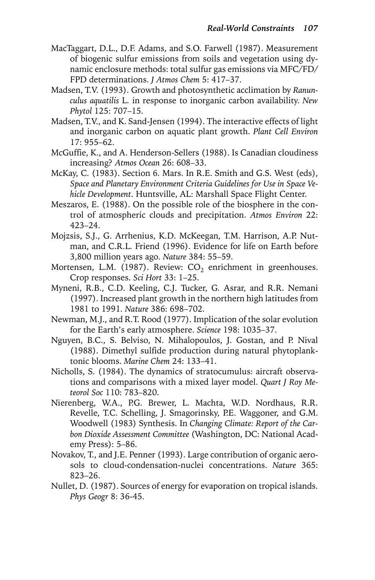- MacTaggart, D.L., D.F. Adams, and S.O. Farwell (1987). Measurement of biogenic sulfur emissions from soils and vegetation using dynamic enclosure methods: total sulfur gas emissions via MFC/FD/ FPD determinations. *J Atmos Chem* 5: 417–37.
- Madsen, T.V. (1993). Growth and photosynthetic acclimation by *Ranunculus aquatilis* L. in response to inorganic carbon availability. *New Phytol* 125: 707–15.
- Madsen, T.V., and K. Sand-Jensen (1994). The interactive effects of light and inorganic carbon on aquatic plant growth. *Plant Cell Environ* 17: 955–62.
- McGuffie, K., and A. Henderson-Sellers (1988). Is Canadian cloudiness increasing? *Atmos Ocean* 26: 608–33.
- McKay, C. (1983). Section 6. Mars. In R.E. Smith and G.S. West (eds), *Space and Planetary Environment Criteria Guidelines for Use in Space Vehicle Development*. Huntsville, AL: Marshall Space Flight Center.
- Meszaros, E. (1988). On the possible role of the biosphere in the control of atmospheric clouds and precipitation. *Atmos Environ* 22: 423–24.
- Mojzsis, S.J., G. Arrhenius, K.D. McKeegan, T.M. Harrison, A.P. Nutman, and C.R.L. Friend (1996). Evidence for life on Earth before 3,800 million years ago. *Nature* 384: 55–59.
- Mortensen, L.M. (1987). Review:  $CO<sub>2</sub>$  enrichment in greenhouses. Crop responses. *Sci Hort* 33: 1–25.
- Myneni, R.B., C.D. Keeling, C.J. Tucker, G. Asrar, and R.R. Nemani (1997). Increased plant growth in the northern high latitudes from 1981 to 1991. *Nature* 386: 698–702.
- Newman, M.J., and R.T. Rood (1977). Implication of the solar evolution for the Earth's early atmosphere. *Science* 198: 1035–37.
- Nguyen, B.C., S. Belviso, N. Mihalopoulos, J. Gostan, and P. Nival (1988). Dimethyl sulfide production during natural phytoplanktonic blooms. *Marine Chem* 24: 133–41.
- Nicholls, S. (1984). The dynamics of stratocumulus: aircraft observations and comparisons with a mixed layer model. *Quart J Roy Meteorol Soc* 110: 783–820.
- Nierenberg, W.A., P.G. Brewer, L. Machta, W.D. Nordhaus, R.R. Revelle, T.C. Schelling, J. Smagorinsky, P.E. Waggoner, and G.M. Woodwell (1983) Synthesis. In *Changing Climate: Report of the Carbon Dioxide Assessment Committee* (Washington, DC: National Academy Press): 5–86.
- Novakov, T., and J.E. Penner (1993). Large contribution of organic aerosols to cloud-condensation-nuclei concentrations. *Nature* 365: 823–26.
- Nullet, D. (1987). Sources of energy for evaporation on tropical islands. *Phys Geogr* 8: 36-45.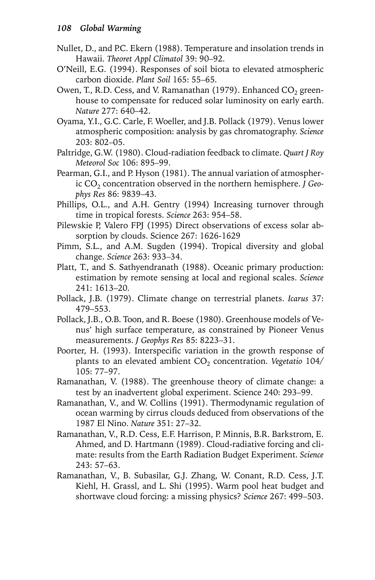- Nullet, D., and P.C. Ekern (1988). Temperature and insolation trends in Hawaii. *Theoret Appl Climatol* 39: 90–92.
- O'Neill, E.G. (1994). Responses of soil biota to elevated atmospheric carbon dioxide. *Plant Soil* 165: 55–65.
- Owen, T., R.D. Cess, and V. Ramanathan (1979). Enhanced  $CO<sub>2</sub>$  greenhouse to compensate for reduced solar luminosity on early earth. *Nature* 277: 640–42.
- Oyama, Y.I., G.C. Carle, F. Woeller, and J.B. Pollack (1979). Venus lower atmospheric composition: analysis by gas chromatography. *Science* 203: 802–05.
- Paltridge, G.W. (1980). Cloud-radiation feedback to climate. *Quart J Roy Meteorol Soc* 106: 895–99.
- Pearman, G.I., and P. Hyson (1981). The annual variation of atmospheric CO<sub>2</sub> concentration observed in the northern hemisphere. *J* Geo*phys Res* 86: 9839–43.
- Phillips, O.L., and A.H. Gentry (1994) Increasing turnover through time in tropical forests. *Science* 263: 954–58.
- Pilewskie P, Valero FPJ (1995) Direct observations of excess solar absorption by clouds. Science 267: 1626-1629
- Pimm, S.L., and A.M. Sugden (1994). Tropical diversity and global change. *Science* 263: 933–34.
- Platt, T., and S. Sathyendranath (1988). Oceanic primary production: estimation by remote sensing at local and regional scales. *Science* 241: 1613–20.
- Pollack, J.B. (1979). Climate change on terrestrial planets. *Icarus* 37: 479–553.
- Pollack, J.B., O.B. Toon, and R. Boese (1980). Greenhouse models of Venus' high surface temperature, as constrained by Pioneer Venus measurements. *J Geophys Res* 85: 8223–31.
- Poorter, H. (1993). Interspecific variation in the growth response of plants to an elevated ambient CO<sub>2</sub> concentration. *Vegetatio* 104/ 105: 77–97.
- Ramanathan, V. (1988). The greenhouse theory of climate change: a test by an inadvertent global experiment. Science 240: 293–99.
- Ramanathan, V., and W. Collins (1991). Thermodynamic regulation of ocean warming by cirrus clouds deduced from observations of the 1987 El Nino. *Nature* 351: 27–32.
- Ramanathan, V., R.D. Cess, E.F. Harrison, P. Minnis, B.R. Barkstrom, E. Ahmed, and D. Hartmann (1989). Cloud-radiative forcing and climate: results from the Earth Radiation Budget Experiment. *Science* 243: 57–63.
- Ramanathan, V., B. Subasilar, G.J. Zhang, W. Conant, R.D. Cess, J.T. Kiehl, H. Grassl, and L. Shi (1995). Warm pool heat budget and shortwave cloud forcing: a missing physics? *Science* 267: 499–503.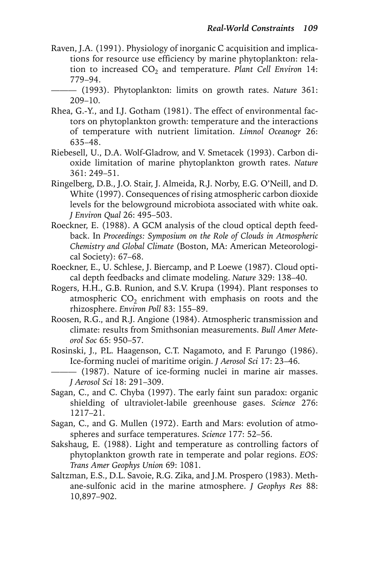- Raven, J.A. (1991). Physiology of inorganic C acquisition and implications for resource use efficiency by marine phytoplankton: relation to increased CO<sub>2</sub> and temperature. *Plant Cell Environ* 14: 779–94.
	- ——— (1993). Phytoplankton: limits on growth rates. *Nature* 361: 209–10.
- Rhea, G.-Y., and I.J. Gotham (1981). The effect of environmental factors on phytoplankton growth: temperature and the interactions of temperature with nutrient limitation. *Limnol Oceanogr* 26: 635–48.
- Riebesell, U., D.A. Wolf-Gladrow, and V. Smetacek (1993). Carbon dioxide limitation of marine phytoplankton growth rates. *Nature* 361: 249–51.
- Ringelberg, D.B., J.O. Stair, J. Almeida, R.J. Norby, E.G. O'Neill, and D. White (1997). Consequences of rising atmospheric carbon dioxide levels for the belowground microbiota associated with white oak. *J Environ Qual* 26: 495–503.
- Roeckner, E. (1988). A GCM analysis of the cloud optical depth feedback. In *Proceedings: Symposium on the Role of Clouds in Atmospheric Chemistry and Global Climate* (Boston, MA: American Meteorological Society): 67–68.
- Roeckner, E., U. Schlese, J. Biercamp, and P. Loewe (1987). Cloud optical depth feedbacks and climate modeling. *Nature* 329: 138–40.
- Rogers, H.H., G.B. Runion, and S.V. Krupa (1994). Plant responses to atmospheric  $CO<sub>2</sub>$  enrichment with emphasis on roots and the rhizosphere. *Environ Poll* 83: 155–89.
- Roosen, R.G., and R.J. Angione (1984). Atmospheric transmission and climate: results from Smithsonian measurements. *Bull Amer Meteorol Soc* 65: 950–57.
- Rosinski, J., P.L. Haagenson, C.T. Nagamoto, and F. Parungo (1986). Ice-forming nuclei of maritime origin. *J Aerosol Sci* 17: 23–46.
	- ——— (1987). Nature of ice-forming nuclei in marine air masses. *J Aerosol Sci* 18: 291–309.
- Sagan, C., and C. Chyba (1997). The early faint sun paradox: organic shielding of ultraviolet-labile greenhouse gases. *Science* 276: 1217–21.
- Sagan, C., and G. Mullen (1972). Earth and Mars: evolution of atmospheres and surface temperatures. *Science* 177: 52–56.
- Sakshaug, E. (1988). Light and temperature as controlling factors of phytoplankton growth rate in temperate and polar regions. *EOS: Trans Amer Geophys Union* 69: 1081.
- Saltzman, E.S., D.L. Savoie, R.G. Zika, and J.M. Prospero (1983). Methane-sulfonic acid in the marine atmosphere. *J Geophys Res* 88: 10,897–902.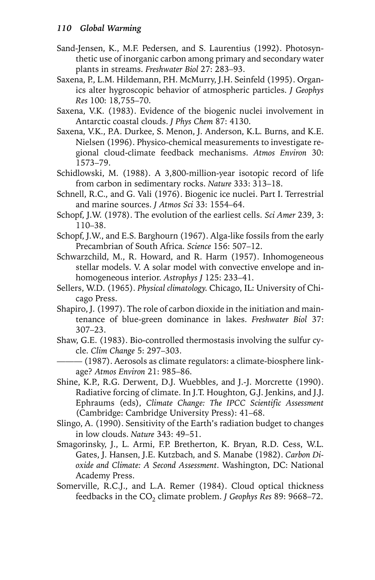Sand-Jensen, K., M.F. Pedersen, and S. Laurentius (1992). Photosynthetic use of inorganic carbon among primary and secondary water plants in streams. *Freshwater Biol* 27: 283–93.

Saxena, P., L.M. Hildemann, P.H. McMurry, J.H. Seinfeld (1995). Organics alter hygroscopic behavior of atmospheric particles. *J Geophys Res* 100: 18,755–70.

Saxena, V.K. (1983). Evidence of the biogenic nuclei involvement in Antarctic coastal clouds. *J Phys Chem* 87: 4130.

- Saxena, V.K., P.A. Durkee, S. Menon, J. Anderson, K.L. Burns, and K.E. Nielsen (1996). Physico-chemical measurements to investigate regional cloud-climate feedback mechanisms. *Atmos Environ* 30: 1573–79.
- Schidlowski, M. (1988). A 3,800-million-year isotopic record of life from carbon in sedimentary rocks. *Nature* 333: 313–18.
- Schnell, R.C., and G. Vali (1976). Biogenic ice nuclei. Part I. Terrestrial and marine sources. *J Atmos Sci* 33: 1554–64.
- Schopf, J.W. (1978). The evolution of the earliest cells. *Sci Amer* 239, 3: 110–38.
- Schopf, J.W., and E.S. Barghourn (1967). Alga-like fossils from the early Precambrian of South Africa. *Science* 156: 507–12.
- Schwarzchild, M., R. Howard, and R. Harm (1957). Inhomogeneous stellar models. V. A solar model with convective envelope and inhomogeneous interior. *Astrophys J* 125: 233–41.
- Sellers, W.D. (1965). *Physical climatology*. Chicago, IL: University of Chicago Press.
- Shapiro, J. (1997). The role of carbon dioxide in the initiation and maintenance of blue-green dominance in lakes. *Freshwater Biol* 37: 307–23.
- Shaw, G.E. (1983). Bio-controlled thermostasis involving the sulfur cycle. *Clim Change* 5: 297–303.

 $-$  (1987). Aerosols as climate regulators: a climate-biosphere linkage? *Atmos Environ* 21: 985–86.

- Shine, K.P., R.G. Derwent, D.J. Wuebbles, and J.-J. Morcrette (1990). Radiative forcing of climate. In J.T. Houghton, G.J. Jenkins, and J.J. Ephraums (eds), *Climate Change: The IPCC Scientific Assessment* (Cambridge: Cambridge University Press): 41–68.
- Slingo, A. (1990). Sensitivity of the Earth's radiation budget to changes in low clouds. *Nature* 343: 49–51.
- Smagorinsky, J., L. Armi, F.P. Bretherton, K. Bryan, R.D. Cess, W.L. Gates, J. Hansen, J.E. Kutzbach, and S. Manabe (1982). *Carbon Dioxide and Climate: A Second Assessment*. Washington, DC: National Academy Press.
- Somerville, R.C.J., and L.A. Remer (1984). Cloud optical thickness feedbacks in the CO<sub>2</sub> climate problem. *J Geophys Res* 89: 9668-72.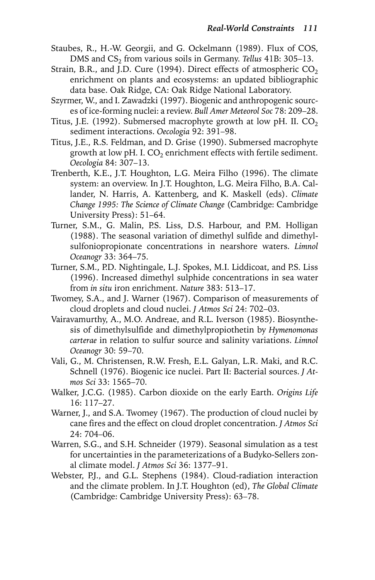- Staubes, R., H.-W. Georgii, and G. Ockelmann (1989). Flux of COS, DMS and CS<sub>2</sub> from various soils in Germany. *Tellus* 41B: 305-13.
- Strain, B.R., and J.D. Cure (1994). Direct effects of atmospheric  $CO<sub>2</sub>$ enrichment on plants and ecosystems: an updated bibliographic data base. Oak Ridge, CA: Oak Ridge National Laboratory.
- Szyrmer, W., and I. Zawadzki (1997). Biogenic and anthropogenic sources of ice-forming nuclei: a review. *Bull Amer Meteorol Soc* 78: 209–28.
- Titus, J.E. (1992). Submersed macrophyte growth at low pH. II.  $CO<sub>2</sub>$ sediment interactions. *Oecologia* 92: 391–98.
- Titus, J.E., R.S. Feldman, and D. Grise (1990). Submersed macrophyte growth at low pH. I.  $CO<sub>2</sub>$  enrichment effects with fertile sediment. *Oecologia* 84: 307–13.
- Trenberth, K.E., J.T. Houghton, L.G. Meira Filho (1996). The climate system: an overview. In J.T. Houghton, L.G. Meira Filho, B.A. Callander, N. Harris, A. Kattenberg, and K. Maskell (eds). *Climate Change 1995: The Science of Climate Change* (Cambridge: Cambridge University Press): 51–64.
- Turner, S.M., G. Malin, P.S. Liss, D.S. Harbour, and P.M. Holligan (1988). The seasonal variation of dimethyl sulfide and dimethylsulfoniopropionate concentrations in nearshore waters. *Limnol Oceanogr* 33: 364–75.
- Turner, S.M., P.D. Nightingale, L.J. Spokes, M.I. Liddicoat, and P.S. Liss (1996). Increased dimethyl sulphide concentrations in sea water from *in situ* iron enrichment. *Nature* 383: 513–17.
- Twomey, S.A., and J. Warner (1967). Comparison of measurements of cloud droplets and cloud nuclei. *J Atmos Sci* 24: 702–03.
- Vairavamurthy, A., M.O. Andreae, and R.L. Iverson (1985). Biosynthesis of dimethylsulfide and dimethylpropiothetin by *Hymenomonas carterae* in relation to sulfur source and salinity variations. *Limnol Oceanogr* 30: 59–70.
- Vali, G., M. Christensen, R.W. Fresh, E.L. Galyan, L.R. Maki, and R.C. Schnell (1976). Biogenic ice nuclei. Part II: Bacterial sources. *J Atmos Sci* 33: 1565–70.
- Walker, J.C.G. (1985). Carbon dioxide on the early Earth. *Origins Life* 16: 117–27.
- Warner, J., and S.A. Twomey (1967). The production of cloud nuclei by cane fires and the effect on cloud droplet concentration. *J Atmos Sci* 24: 704–06.
- Warren, S.G., and S.H. Schneider (1979). Seasonal simulation as a test for uncertainties in the parameterizations of a Budyko-Sellers zonal climate model. *J Atmos Sci* 36: 1377–91.
- Webster, P.J., and G.L. Stephens (1984). Cloud-radiation interaction and the climate problem. In J.T. Houghton (ed), *The Global Climate* (Cambridge: Cambridge University Press): 63–78.